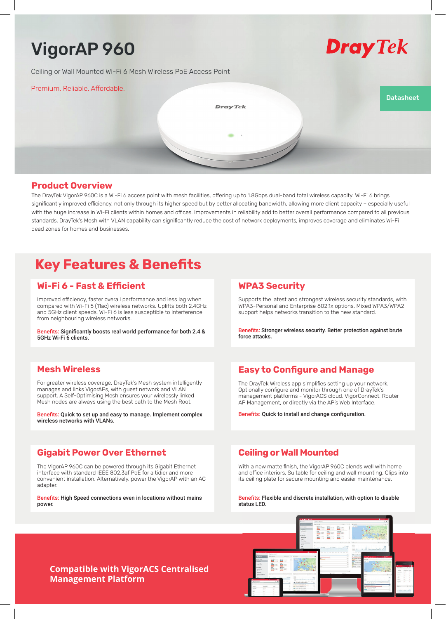# VigorAP 960

Ceiling or Wall Mounted Wi-Fi 6 Mesh Wireless PoE Access Point



Premium. Reliable. Affordable.

**DrayTek** 

# **Datasheet**

### **Product Overview**

The DrayTek VigorAP 960C is a Wi-Fi 6 access point with mesh facilities, offering up to 1.8Gbps dual-band total wireless capacity. Wi-Fi 6 brings significantly improved efficiency, not only through its higher speed but by better allocating bandwidth, allowing more client capacity - especially useful with the huge increase in Wi-Fi clients within homes and offices. Improvements in reliability add to better overall performance compared to all previous standards. DrayTek's Mesh with VLAN capability can significantly reduce the cost of network deployments, improves coverage and eliminates Wi-Fi dead zones for homes and businesses.

# **Key Features & Benefits**

# **Wi-Fi 6 - Fast & Efficient**

Improved efficiency, faster overall performance and less lag when compared with Wi-Fi 5 (11ac) wireless networks. Uplifts both 2.4GHz and 5GHz client speeds. Wi-Fi 6 is less susceptible to interference from neighbouring wireless networks.

Benefits: Significantly boosts real world performance for both 2.4 & 5GHz Wi-Fi 6 clients.

# **Mesh Wireless**

For greater wireless coverage, DrayTek's Mesh system intelligently manages and links VigorAPs, with guest network and VLAN support. A Self-Optimising Mesh ensures your wirelessly linked Mesh nodes are always using the best path to the Mesh Root.

Benefits: Quick to set up and easy to manage. Implement complex wireless networks with VLANs.

# **Gigabit Power Over Ethernet**

The VigorAP 960C can be powered through its Gigabit Ethernet interface with standard IEEE 802.3af PoE for a tidier and more convenient installation. Alternatively, power the VigorAP with an AC adapter.

Benefits: High Speed connections even in locations without mains power.

## **WPA3 Security**

Supports the latest and strongest wireless security standards, with WPA3-Personal and Enterprise 802.1x options. Mixed WPA3/WPA2 support helps networks transition to the new standard.

Benefits: Stronger wireless security. Better protection against brute force attacks.

# **Easy to Configure and Manage**

The DrayTek Wireless app simplifies setting up your network. Optionally configure and monitor through one of DrayTek's management platforms - VigorACS cloud, VigorConnect, Router AP Management, or directly via the AP's Web Interface.

Benefits: Quick to install and change configuration.

## **Ceiling or Wall Mounted**

With a new matte finish, the VigorAP 960C blends well with home and office interiors. Suitable for ceiling and wall mounting. Clips into its ceiling plate for secure mounting and easier maintenance.

Benefits: Flexible and discrete installation, with option to disable status LED.



## **Compatible with VigorACS Centralised Management Platform**